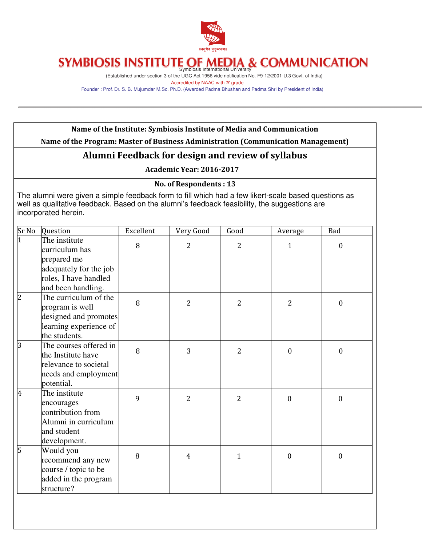

(Established under section 3 of the UGC Act 1956 vide notification No. F9-12/2001-U.3 Govt. of India) Accredited by NAAC with 'A' grade

Founder : Prof. Dr. S. B. Mujumdar M.Sc. Ph.D. (Awarded Padma Bhushan and Padma Shri by President of India)

#### Name of the Institute: Symbiosis Institute of Media and Communication

Name of the Program: Master of Business Administration (Communication Management)

### Alumni Feedback for design and review of syllabus

#### Academic Year: 2016-2017

No. of Respondents : 13

The alumni were given a simple feedback form to fill which had a few likert-scale based questions as well as qualitative feedback. Based on the alumni's feedback feasibility, the suggestions are incorporated herein.

| Sr No          | Question                                                                                                     | Excellent | Very Good      | Good           | Average        | Bad              |
|----------------|--------------------------------------------------------------------------------------------------------------|-----------|----------------|----------------|----------------|------------------|
| $\overline{1}$ | The institute<br>curriculum has<br>prepared me<br>adequately for the job                                     | 8         | $\overline{2}$ | 2              | $\mathbf{1}$   | $\mathbf{0}$     |
|                | roles, I have handled<br>and been handling.                                                                  |           |                |                |                |                  |
| $\overline{c}$ | The curriculum of the<br>program is well<br>designed and promotes<br>learning experience of<br>the students. | 8         | $\overline{2}$ | $\overline{2}$ | $\overline{2}$ | $\mathbf{0}$     |
| 3              | The courses offered in<br>the Institute have<br>relevance to societal<br>needs and employment<br>potential.  | 8         | 3              | $\overline{2}$ | $\mathbf{0}$   | $\mathbf{0}$     |
| 4              | The institute<br>encourages<br>contribution from<br>Alumni in curriculum<br>and student<br>development.      | 9         | $\overline{2}$ | $\overline{2}$ | $\mathbf{0}$   | $\boldsymbol{0}$ |
| 5              | Would you<br>recommend any new<br>course / topic to be<br>added in the program<br>structure?                 | 8         | $\overline{4}$ | $\mathbf{1}$   | $\overline{0}$ | $\boldsymbol{0}$ |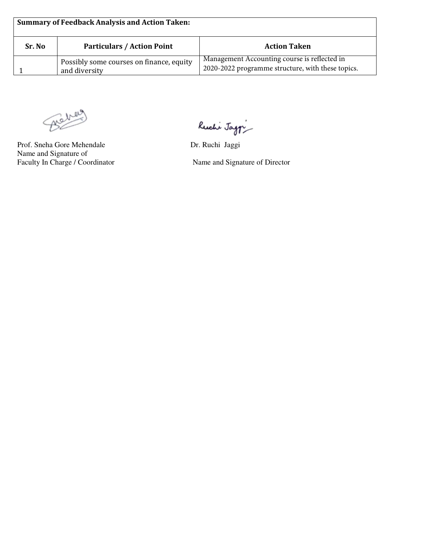| <b>Summary of Feedback Analysis and Action Taken:</b> |                                                           |                                                                                                   |  |  |  |  |  |
|-------------------------------------------------------|-----------------------------------------------------------|---------------------------------------------------------------------------------------------------|--|--|--|--|--|
| Sr. No                                                | <b>Particulars / Action Point</b>                         | <b>Action Taken</b>                                                                               |  |  |  |  |  |
|                                                       | Possibly some courses on finance, equity<br>and diversity | Management Accounting course is reflected in<br>2020-2022 programme structure, with these topics. |  |  |  |  |  |

Behaus

Prof. Sneha Gore Mehendale Dr. Ruchi Jaggi Name and Signature of<br>Faculty In Charge / Coordinator

Ruchi Jag $\dot{r}$ 

Name and Signature of Director

٦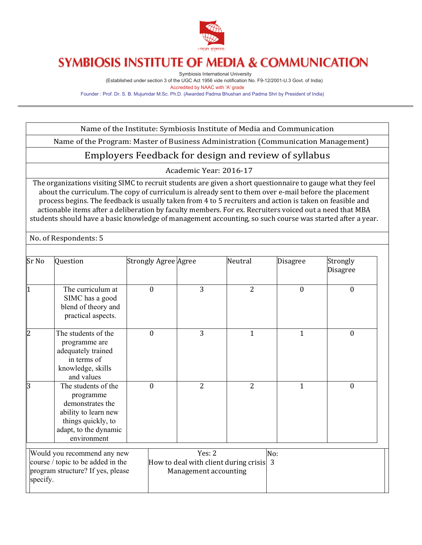

Symbiosis International University (Established under section 3 of the UGC Act 1956 vide notification No. F9-12/2001-U.3 Govt. of India) Accredited by NAAC with 'A' grade Founder : Prof. Dr. S. B. Mujumdar M.Sc. Ph.D. (Awarded Padma Bhushan and Padma Shri by President of India)

Name of the Institute: Symbiosis Institute of Media and Communication

Name of the Program: Master of Business Administration (Communication Management)

## Employers Feedback for design and review of syllabus

Academic Year: 2016-17

The organizations visiting SIMC to recruit students are given a short questionnaire to gauge what they feel about the curriculum. The copy of curriculum is already sent to them over e-mail before the placement process begins. The feedback is usually taken from 4 to 5 recruiters and action is taken on feasible and actionable items after a deliberation by faculty members. For ex. Recruiters voiced out a need that MBA students should have a basic knowledge of management accounting, so such course was started after a year.

No. of Respondents: 5

| Sr No    | Question                                                                                                                                   | <b>Strongly Agree Agree</b> |                                                                            | Neutral        | <b>Disagree</b> | Strongly<br><b>Disagree</b> |
|----------|--------------------------------------------------------------------------------------------------------------------------------------------|-----------------------------|----------------------------------------------------------------------------|----------------|-----------------|-----------------------------|
| l1       | The curriculum at<br>SIMC has a good<br>blend of theory and<br>practical aspects.                                                          | $\mathbf{0}$                | 3                                                                          | $\overline{2}$ | 0               | $\mathbf{0}$                |
| l2       | The students of the<br>programme are<br>adequately trained<br>in terms of<br>knowledge, skills<br>and values                               | $\mathbf{0}$                | 3                                                                          | $\mathbf{1}$   | 1               | $\mathbf{0}$                |
| l3       | The students of the<br>programme<br>demonstrates the<br>ability to learn new<br>things quickly, to<br>adapt, to the dynamic<br>environment | $\mathbf{0}$                | 2                                                                          | 2              | $\mathbf{1}$    | $\mathbf{0}$                |
| specify. | Would you recommend any new<br>course / topic to be added in the<br>program structure? If yes, please                                      |                             | Yes: $2$<br>How to deal with client during crisis<br>Management accounting |                | No:<br>3        |                             |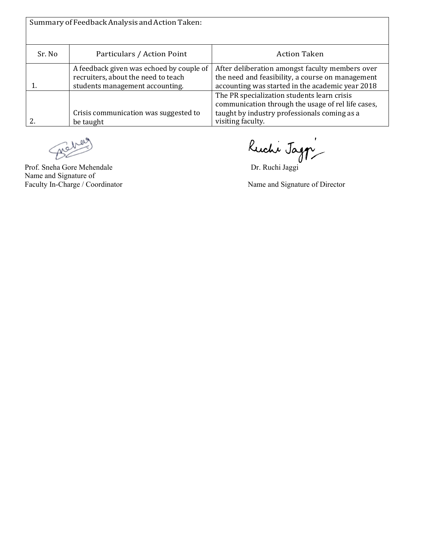| Summary of Feedback Analysis and Action Taken: |                                                                                                                    |                                                                                                                                                                        |  |  |  |  |  |
|------------------------------------------------|--------------------------------------------------------------------------------------------------------------------|------------------------------------------------------------------------------------------------------------------------------------------------------------------------|--|--|--|--|--|
| Sr. No                                         | Particulars / Action Point                                                                                         | <b>Action Taken</b>                                                                                                                                                    |  |  |  |  |  |
|                                                | A feedback given was echoed by couple of<br>recruiters, about the need to teach<br>students management accounting. | After deliberation amongst faculty members over<br>the need and feasibility, a course on management<br>accounting was started in the academic year 2018                |  |  |  |  |  |
|                                                | Crisis communication was suggested to<br>be taught                                                                 | The PR specialization students learn crisis<br>communication through the usage of rel life cases,<br>taught by industry professionals coming as a<br>visiting faculty. |  |  |  |  |  |

D)

Name and Signature of

Prof. Sneha Gore Mehendale Dr. Ruchi Jaggi

Faculty In-Charge / Coordinator Name and Signature of Director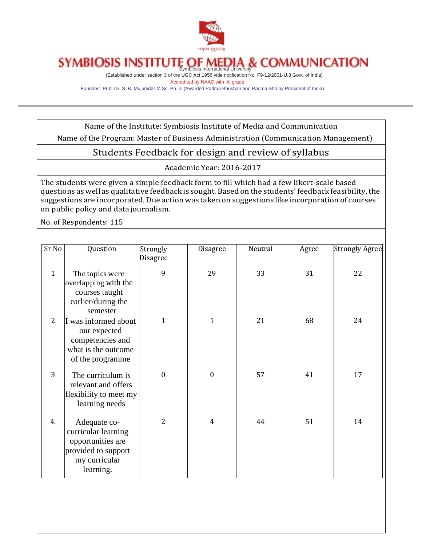

(Established under section 3 of the UGC Act 1956 vide notification No. F9-12/2001-U.3 Govt. of India) Accredited by NAAC with 'A' grade

Founder : Prof. Dr. S. B. Mujumdar M.Sc. Ph.D. (Awarded Padma Bhushan and Padma Shri by President of India)

Name of the Institute: Symbiosis Institute of Media and Communication

Name of the Program: Master of Business Administration (Communication Management)

### Students Feedback for design and review of syllabus

Academic Year: 2016-2017

The students were given a simple feedback form to fill which had a few likert-scale based questions as well as qualitative feedback is sought. Based on the students' feedback feasibility,the suggestions are incorporated. Due action was taken on suggestions like incorporation of courses on public policy and datajournalism.

No. of Respondents: 115

| Sr No          | Question                                                                                                      | Strongly<br>Disagree | Disagree     | Neutral | Agree | <b>Strongly Agree</b> |
|----------------|---------------------------------------------------------------------------------------------------------------|----------------------|--------------|---------|-------|-----------------------|
| $\mathbf{1}$   | The topics were<br>overlapping with the<br>courses taught<br>earlier/during the<br>semester                   | 9                    | 29           | 33      | 31    | 22                    |
| $\overline{2}$ | was informed about<br>our expected<br>competencies and<br>what is the outcome<br>of the programme             | $\mathbf{1}$         | $\mathbf{1}$ | 21      | 68    | 24                    |
| 3              | The curriculum is<br>relevant and offers<br>flexibility to meet my<br>learning needs                          | $\theta$             | $\mathbf{0}$ | 57      | 41    | 17                    |
| 4.             | Adequate co-<br>curricular learning<br>opportunities are<br>provided to support<br>my curricular<br>learning. | $\overline{2}$       | 4            | 44      | 51    | 14                    |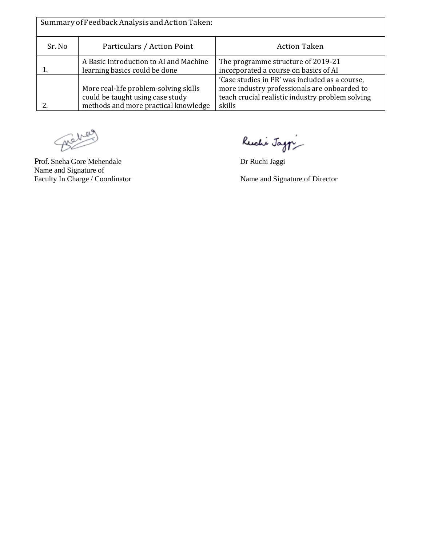| Summary of Feedback Analysis and Action Taken: |                                                                                                                   |                                                                                                                                                              |  |  |  |  |  |
|------------------------------------------------|-------------------------------------------------------------------------------------------------------------------|--------------------------------------------------------------------------------------------------------------------------------------------------------------|--|--|--|--|--|
| Sr. No                                         | Particulars / Action Point                                                                                        | <b>Action Taken</b>                                                                                                                                          |  |  |  |  |  |
|                                                | A Basic Introduction to AI and Machine<br>learning basics could be done                                           | The programme structure of 2019-21<br>incorporated a course on basics of AI                                                                                  |  |  |  |  |  |
|                                                | More real-life problem-solving skills<br>could be taught using case study<br>methods and more practical knowledge | 'Case studies in PR' was included as a course,<br>more industry professionals are onboarded to<br>teach crucial realistic industry problem solving<br>skills |  |  |  |  |  |

Beher

Prof. Sneha Gore Mehendale Dr Ruchi Jaggi Name and Signature of<br>Faculty In Charge / Coordinator

Ruchi Jag $\eta$ 

Name and Signature of Director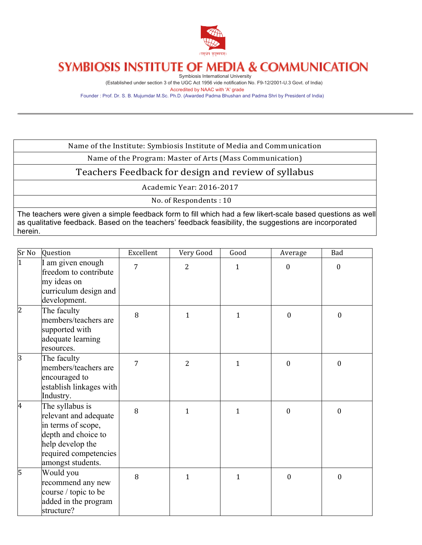

Symbiosis International University (Established under section 3 of the UGC Act 1956 vide notification No. F9-12/2001-U.3 Govt. of India) Accredited by NAAC with 'A' grade

Founder : Prof. Dr. S. B. Mujumdar M.Sc. Ph.D. (Awarded Padma Bhushan and Padma Shri by President of India)

Name of the Institute: Symbiosis Institute of Media and Communication

Name of the Program: Master of Arts (Mass Communication)

Teachers Feedback for design and review of syllabus

Academic Year: 2016-2017

No. of Respondents: 10

The teachers were given a simple feedback form to fill which had a few likert-scale based questions as well as qualitative feedback. Based on the teachers' feedback feasibility, the suggestions are incorporated herein.

| Sr No          | Question                                                                                                                                                | Excellent | Very Good      | Good         | Average          | Bad              |
|----------------|---------------------------------------------------------------------------------------------------------------------------------------------------------|-----------|----------------|--------------|------------------|------------------|
| $\overline{1}$ | I am given enough<br>freedom to contribute<br>my ideas on                                                                                               | 7         | $\overline{2}$ | $\mathbf{1}$ | $\mathbf{0}$     | $\mathbf{0}$     |
|                | curriculum design and<br>development.                                                                                                                   |           |                |              |                  |                  |
| 2              | The faculty<br>members/teachers are<br>supported with<br>adequate learning<br>resources.                                                                | 8         | $\mathbf{1}$   | $\mathbf{1}$ | $\mathbf{0}$     | $\mathbf{0}$     |
| 3              | The faculty<br>members/teachers are<br>encouraged to<br>establish linkages with<br>Industry.                                                            | 7         | $\overline{2}$ | $\mathbf{1}$ | $\mathbf{0}$     | $\boldsymbol{0}$ |
| 4              | The syllabus is<br>relevant and adequate<br>in terms of scope,<br>depth and choice to<br>help develop the<br>required competencies<br>amongst students. | 8         | $\mathbf{1}$   | $\mathbf{1}$ | $\boldsymbol{0}$ | $\boldsymbol{0}$ |
| 5              | Would you<br>recommend any new<br>course / topic to be<br>added in the program<br>structure?                                                            | 8         | $\mathbf{1}$   | $\mathbf{1}$ | $\mathbf{0}$     | $\boldsymbol{0}$ |